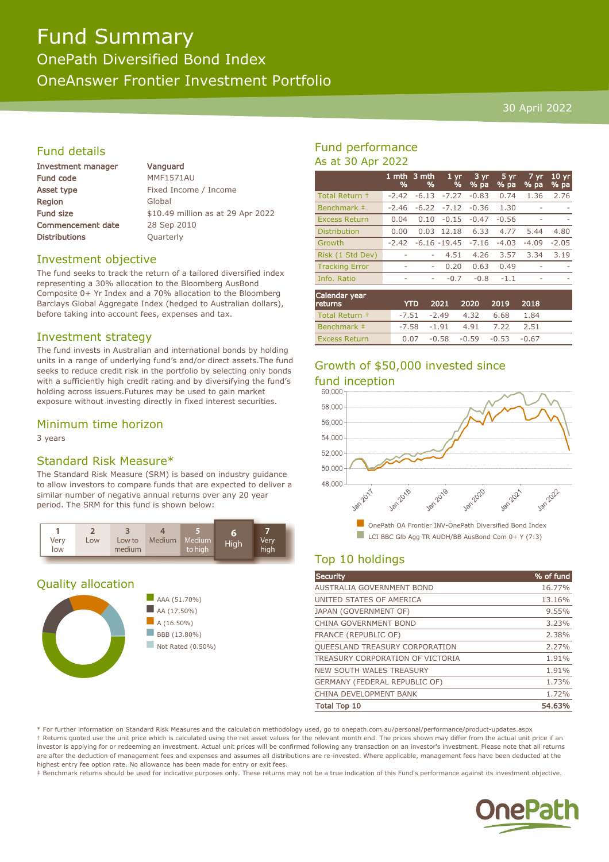# Fund Summary

OnePath Diversified Bond Index OneAnswer Frontier Investment Portfolio

#### 30 April 2022

#### Fund details

| <b>Investment manager</b> | Vanguard                          |
|---------------------------|-----------------------------------|
| <b>Fund code</b>          | <b>MMF1571AU</b>                  |
| Asset type                | Fixed Income / Income             |
| <b>Region</b>             | Global                            |
| <b>Fund size</b>          | \$10.49 million as at 29 Apr 2022 |
| <b>Commencement date</b>  | 28 Sep 2010                       |
| <b>Distributions</b>      | Quarterly                         |
|                           |                                   |

#### Investment objective

The fund seeks to track the return of a tailored diversified index representing a 30% allocation to the Bloomberg AusBond Composite 0+ Yr Index and a 70% allocation to the Bloomberg Barclays Global Aggregate Index (hedged to Australian dollars), before taking into account fees, expenses and tax.

#### Investment strategy

The fund invests in Australian and international bonds by holding units in a range of underlying fund's and/or direct assets.The fund seeks to reduce credit risk in the portfolio by selecting only bonds with a sufficiently high credit rating and by diversifying the fund's holding across issuers.Futures may be used to gain market exposure without investing directly in fixed interest securities.

#### Minimum time horizon

3 years

#### Standard Risk Measure\*

The Standard Risk Measure (SRM) is based on industry guidance to allow investors to compare funds that are expected to deliver a similar number of negative annual returns over any 20 year period. The SRM for this fund is shown below:



#### Quality allocation





#### Fund performance As at 30 Apr 2022

|                       | 1 mth<br>% | 3 mth<br>% | 1 <sub>yr</sub><br>% | 3 yr<br>% pa | 5 yr<br>% pa | 7 yr<br>% pa | $10 \,\mathrm{yr}$<br>% pa |
|-----------------------|------------|------------|----------------------|--------------|--------------|--------------|----------------------------|
| Total Return +        | $-2.42$    | $-6.13$    | $-7.27$              | $-0.83$      | 0.74         | 1.36         | 2.76                       |
| Benchmark ‡           | $-2.46$    | $-6.22$    | $-7.12$              | $-0.36$      | 1.30         |              |                            |
| <b>Excess Return</b>  | 0.04       | 0.10       | $-0.15$              | $-0.47$      | $-0.56$      |              |                            |
| Distribution          | 0.00       | 0.03       | 12.18                | 6.33         | 4.77         | 5.44         | 4.80                       |
| Growth                | $-2.42$    |            | $-6.16 - 19.45$      | $-7.16$      | $-4.03$      | $-4.09$      | $-2.05$                    |
| Risk (1 Std Dev)      |            | ٠          | 4.51                 | 4.26         | 3.57         | 3.34         | 3.19                       |
| <b>Tracking Error</b> |            | ۰          | 0.20                 | 0.63         | 0.49         |              |                            |
| Info. Ratio           | ۰          | ۰          | $-0.7$               | $-0.8$       | $-1.1$       | ۰            | -                          |
| Calendar vear         |            |            |                      |              |              |              |                            |

| Calendar year<br>returns | <b>YTD</b> | 2021 2020                      | 2019 | 2018 |  |
|--------------------------|------------|--------------------------------|------|------|--|
| Total Return +           |            | $-7.51$ $-2.49$ $4.32$ 6.68    |      | 1.84 |  |
| Benchmark #              |            | $-7.58$ $-1.91$ $4.91$ $7.22$  |      | 2.51 |  |
| <b>Excess Return</b>     |            | $0.07 -0.58 -0.59 -0.53 -0.67$ |      |      |  |

### Growth of \$50,000 invested since fund inception



#### Top 10 holdings

| <b>Security</b>                       | % of fund |
|---------------------------------------|-----------|
| <b>AUSTRALIA GOVERNMENT BOND</b>      | 16.77%    |
| UNITED STATES OF AMERICA              | 13.16%    |
| JAPAN (GOVERNMENT OF)                 | 9.55%     |
| CHINA GOVERNMENT BOND                 | 3.23%     |
| <b>FRANCE (REPUBLIC OF)</b>           | 2.38%     |
| <b>QUEESLAND TREASURY CORPORATION</b> | 2.27%     |
| TREASURY CORPORATION OF VICTORIA      | 1.91%     |
| <b>NEW SOUTH WALES TREASURY</b>       | 1.91%     |
| GERMANY (FEDERAL REPUBLIC OF)         | 1.73%     |
| CHINA DEVELOPMENT BANK                | 1.72%     |
| <b>Total Top 10</b>                   | 54.63%    |

\* For further information on Standard Risk Measures and the calculation methodology used, go to onepath.com.au/personal/performance/product-updates.aspx † Returns quoted use the unit price which is calculated using the net asset values for the relevant month end. The prices shown may differ from the actual unit price if an investor is applying for or redeeming an investment. Actual unit prices will be confirmed following any transaction on an investor's investment. Please note that all returns are after the deduction of management fees and expenses and assumes all distributions are re-invested. Where applicable, management fees have been deducted at the highest entry fee option rate. No allowance has been made for entry or exit fees.

‡ Benchmark returns should be used for indicative purposes only. These returns may not be a true indication of this Fund's performance against its investment objective.